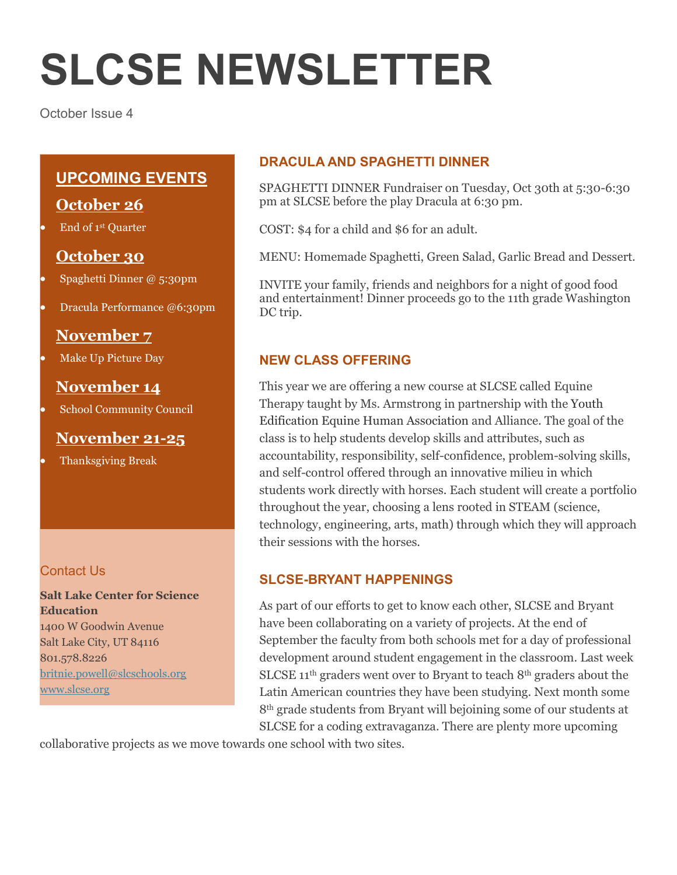# **SLCSE NEWSLETTER**

October Issue 4

# **UPCOMING EVENTS**

# **October 26**

End of 1st Quarter

# **October 30**

- Spaghetti Dinner @ 5:30pm
- Dracula Performance @6:30pm

# **November 7**

Make Up Picture Day

# **November 14**

School Community Council

# **November 21-25**

Thanksgiving Break

#### Contact Us

**Salt Lake Center for Science Education** 1400 W Goodwin Avenue Salt Lake City, UT 84116 801.578.8226 [britnie.powell@slcschools.org](mailto:britnie.powell@slcschools.org) [www.slcse.org](http://www.slcse.org/)

#### **DRACULA AND SPAGHETTI DINNER**

SPAGHETTI DINNER Fundraiser on Tuesday, Oct 30th at 5:30-6:30 pm at SLCSE before the play Dracula at 6:30 pm.

COST: \$4 for a child and \$6 for an adult.

MENU: Homemade Spaghetti, Green Salad, Garlic Bread and Dessert.

INVITE your family, friends and neighbors for a night of good food and entertainment! Dinner proceeds go to the 11th grade Washington DC trip.

#### **NEW CLASS OFFERING**

This year we are offering a new course at SLCSE called Equine Therapy taught by Ms. Armstrong in partnership with the Youth Edification Equine Human Association and Alliance. The goal of the class is to help students develop skills and attributes, such as accountability, responsibility, self-confidence, problem-solving skills, and self-control offered through an innovative milieu in which students work directly with horses. Each student will create a portfolio throughout the year, choosing a lens rooted in STEAM (science, technology, engineering, arts, math) through which they will approach their sessions with the horses.

#### **SLCSE-BRYANT HAPPENINGS**

As part of our efforts to get to know each other, SLCSE and Bryant have been collaborating on a variety of projects. At the end of September the faculty from both schools met for a day of professional development around student engagement in the classroom. Last week SLCSE 11<sup>th</sup> graders went over to Bryant to teach 8<sup>th</sup> graders about the Latin American countries they have been studying. Next month some 8th grade students from Bryant will bejoining some of our students at SLCSE for a coding extravaganza. There are plenty more upcoming

collaborative projects as we move towards one school with two sites.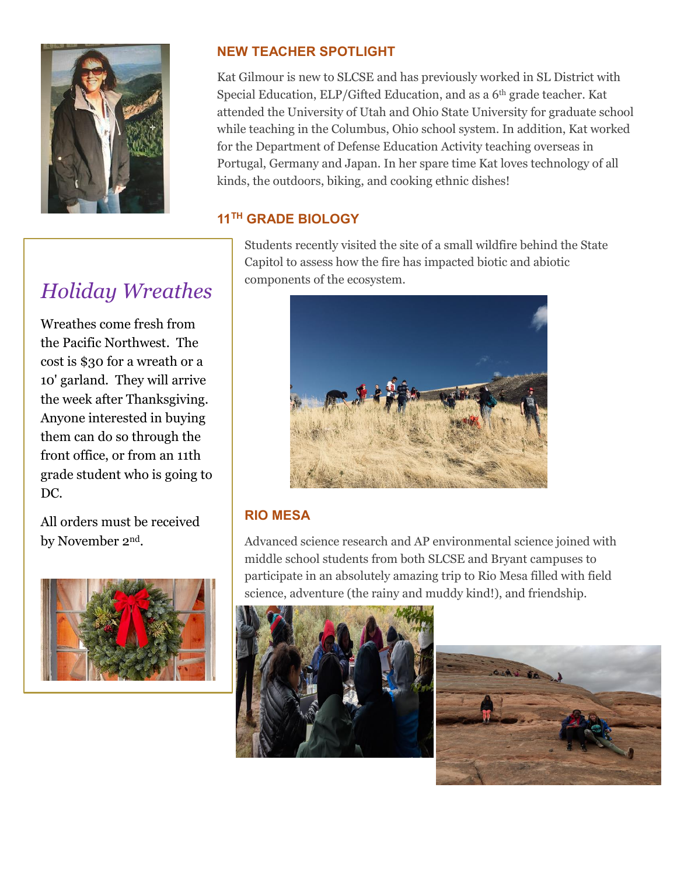

# *Holiday Wreathes*

Wreathes come fresh from the Pacific Northwest. The cost is \$30 for a wreath or a 10' garland. They will arrive the week after Thanksgiving. Anyone interested in buying them can do so through the front office, or from an 11th grade student who is going to DC.

All orders must be received by November 2nd.



### **NEW TEACHER SPOTLIGHT**

Kat Gilmour is new to SLCSE and has previously worked in SL District with Special Education, ELP/Gifted Education, and as a 6th grade teacher. Kat attended the University of Utah and Ohio State University for graduate school while teaching in the Columbus, Ohio school system. In addition, Kat worked for the Department of Defense Education Activity teaching overseas in Portugal, Germany and Japan. In her spare time Kat loves technology of all kinds, the outdoors, biking, and cooking ethnic dishes!

#### **11TH GRADE BIOLOGY**

Students recently visited the site of a small wildfire behind the State Capitol to assess how the fire has impacted biotic and abiotic components of the ecosystem.



#### **RIO MESA**

Advanced science research and AP environmental science joined with middle school students from both SLCSE and Bryant campuses to participate in an absolutely amazing trip to Rio Mesa filled with field science, adventure (the rainy and muddy kind!), and friendship.